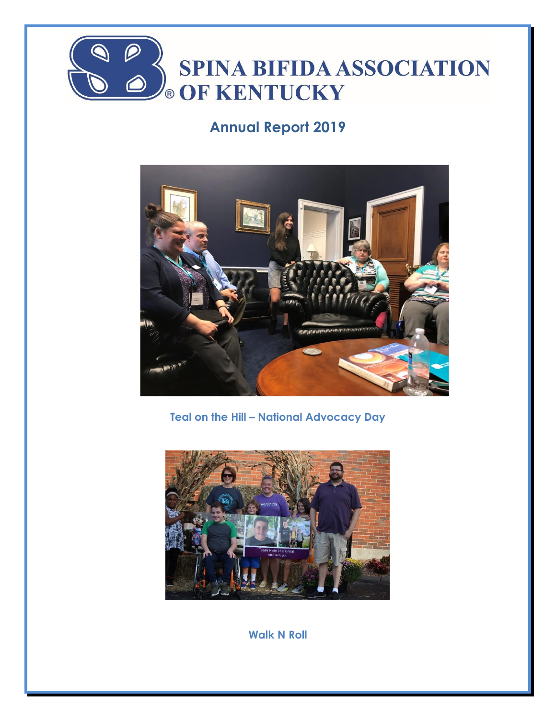

# **Annual Report 2019**



**Teal on the Hill – National Advocacy Day**



**Walk N Roll**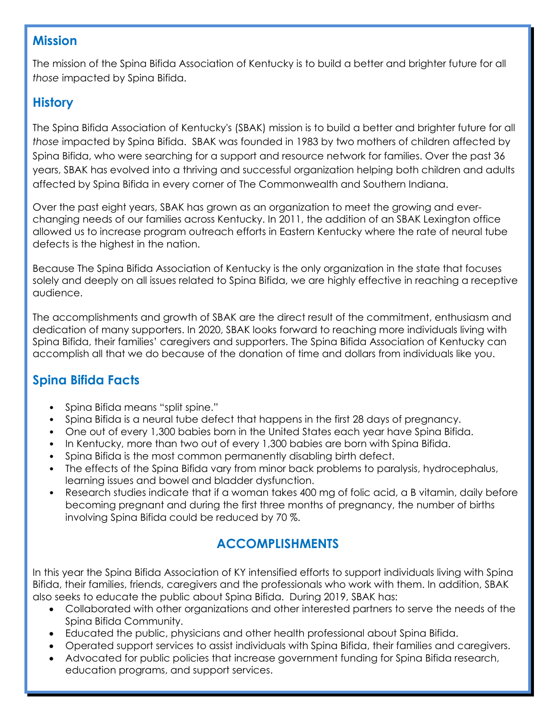#### **Mission**

The mission of the Spina Bifida Association of Kentucky is to build a better and brighter future for all *those* impacted by Spina Bifida.

### **History**

The Spina Bifida Association of Kentucky's (SBAK) mission is to build a better and brighter future for all *those* impacted by Spina Bifida. SBAK was founded in 1983 by two mothers of children affected by Spina Bifida, who were searching for a support and resource network for families. Over the past 36 years, SBAK has evolved into a thriving and successful organization helping both children and adults affected by Spina Bifida in every corner of The Commonwealth and Southern Indiana.

Over the past eight years, SBAK has grown as an organization to meet the growing and everchanging needs of our families across Kentucky. In 2011, the addition of an SBAK Lexington office allowed us to increase program outreach efforts in Eastern Kentucky where the rate of neural tube defects is the highest in the nation.

Because The Spina Bifida Association of Kentucky is the only organization in the state that focuses solely and deeply on all issues related to Spina Bifida, we are highly effective in reaching a receptive audience.

The accomplishments and growth of SBAK are the direct result of the commitment, enthusiasm and dedication of many supporters. In 2020, SBAK looks forward to reaching more individuals living with Spina Bifida, their families' caregivers and supporters. The Spina Bifida Association of Kentucky can accomplish all that we do because of the donation of time and dollars from individuals like you.

# **Spina Bifida Facts**

- Spina Bifida means "split spine."
- Spina Bifida is a neural tube defect that happens in the first 28 days of pregnancy.
- One out of every 1,300 babies born in the United States each year have Spina Bifida.
- In Kentucky, more than two out of every 1,300 babies are born with Spina Bifida.
- Spina Bifida is the most common permanently disabling birth defect.
- The effects of the Spina Bifida vary from minor back problems to paralysis, hydrocephalus, learning issues and bowel and bladder dysfunction.
- Research studies indicate that if a woman takes 400 mg of folic acid, a B vitamin, daily before becoming pregnant and during the first three months of pregnancy, the number of births involving Spina Bifida could be reduced by 70 %.

# **ACCOMPLISHMENTS**

In this year the Spina Bifida Association of KY intensified efforts to support individuals living with Spina Bifida, their families, friends, caregivers and the professionals who work with them. In addition, SBAK also seeks to educate the public about Spina Bifida. During 2019, SBAK has:

- Collaborated with other organizations and other interested partners to serve the needs of the Spina Bifida Community.
- Educated the public, physicians and other health professional about Spina Bifida.
- Operated support services to assist individuals with Spina Bifida, their families and caregivers.
- Advocated for public policies that increase government funding for Spina Bifida research, education programs, and support services.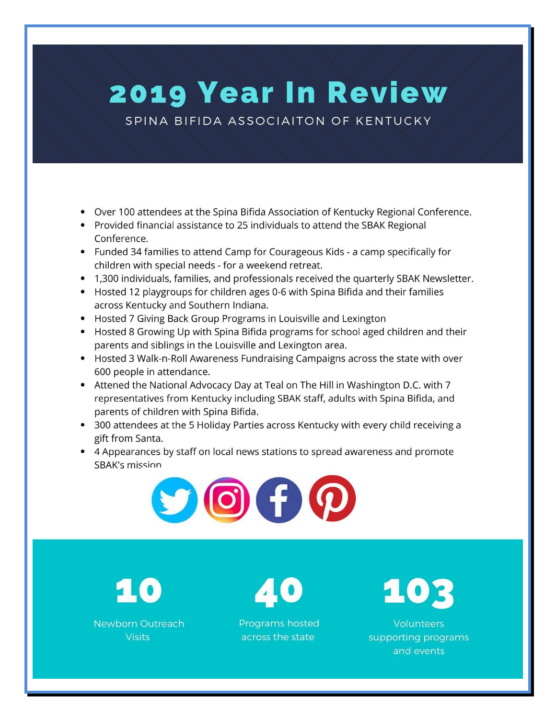# **2019 Year In Review**

SPINA BIFIDA ASSOCIAITON OF KENTUCKY

- Over 100 attendees at the Spina Bifida Association of Kentucky Regional Conference.
- Provided financial assistance to 25 individuals to attend the SBAK Regional Conference.
- Funded 34 families to attend Camp for Courageous Kids a camp specifically for children with special needs - for a weekend retreat.
- 1,300 individuals, families, and professionals received the quarterly SBAK Newsletter.
- Hosted 12 playgroups for children ages 0-6 with Spina Bifida and their families across Kentucky and Southern Indiana.
- Hosted 7 Giving Back Group Programs in Louisville and Lexington
- Hosted 8 Growing Up with Spina Bifida programs for school aged children and their parents and siblings in the Louisville and Lexington area.
- Hosted 3 Walk-n-Roll Awareness Fundraising Campaigns across the state with over 600 people in attendance.
- Attened the National Advocacy Day at Teal on The Hill in Washington D.C. with 7 representatives from Kentucky including SBAK staff, adults with Spina Bifida, and parents of children with Spina Bifida.
- 300 attendees at the 5 Holiday Parties across Kentucky with every child receiving a gift from Santa.
- 4 Appearances by staff on local news stations to spread awareness and promote **SBAK's mission**



Newborn Outreach

**Visits** 

Programs hosted across the state

103

Volunteers supporting programs and events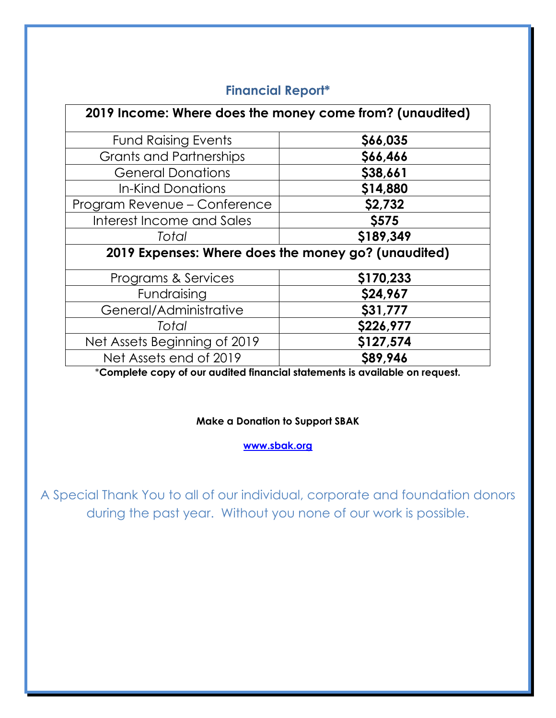| 2019 Income: Where does the money come from? (unaudited) |              |
|----------------------------------------------------------|--------------|
| <b>Fund Raising Events</b>                               | \$66,035     |
| <b>Grants and Partnerships</b>                           | \$66,466     |
| <b>General Donations</b>                                 | \$38,661     |
| In-Kind Donations                                        | \$14,880     |
| Program Revenue – Conference                             | \$2,732      |
| Interest Income and Sales                                | <b>\$575</b> |
| Total                                                    | \$189,349    |
| 2019 Expenses: Where does the money go? (unaudited)      |              |
| Programs & Services                                      | \$170,233    |
| Fundraising                                              | \$24,967     |
| General/Administrative                                   | \$31,777     |
| Total                                                    | \$226,977    |
| Net Assets Beginning of 2019                             | \$127,574    |
| Net Assets end of 2019                                   | \$89,946     |

#### **Financial Report\***

\***Complete copy of our audited financial statements is available on request.**

#### **Make a Donation to Support SBAK**

**[www.sbak.org](http://www.sbak.org/)**

A Special Thank You to all of our individual, corporate and foundation donors during the past year. Without you none of our work is possible.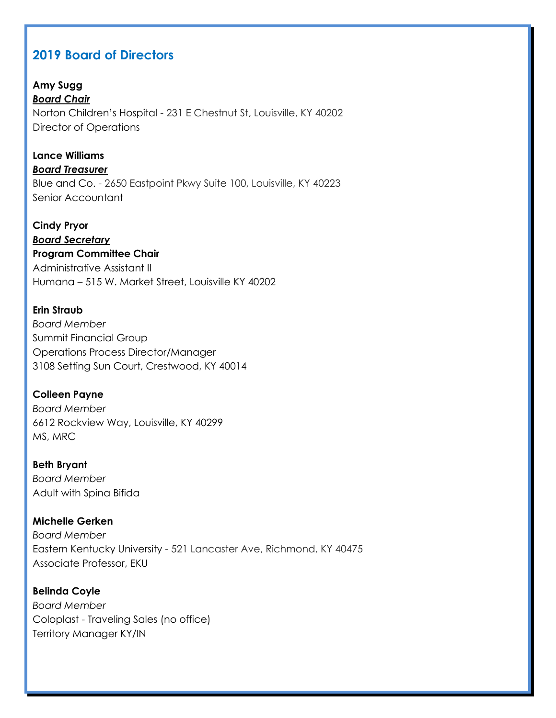#### **2019 Board of Directors**

**Amy Sugg** *Board Chair* Norton Children's Hospital - 231 E Chestnut St, Louisville, KY 40202 Director of Operations

**Lance Williams** *Board Treasurer* Blue and Co. - 2650 Eastpoint Pkwy Suite 100, Louisville, KY 40223 Senior Accountant

**Cindy Pryor** *Board Secretary* **Program Committee Chair** Administrative Assistant II Humana – 515 W. Market Street, Louisville KY 40202

**Erin Straub** *Board Member* Summit Financial Group Operations Process Director/Manager 3108 Setting Sun Court, Crestwood, KY 40014

**Colleen Payne** *Board Member* 6612 Rockview Way, Louisville, KY 40299 MS, MRC

**Beth Bryant** *Board Member* Adult with Spina Bifida

**Michelle Gerken** *Board Member* Eastern Kentucky University - 521 Lancaster Ave, Richmond, KY 40475 Associate Professor, EKU

**Belinda Coyle** *Board Member* Coloplast - Traveling Sales (no office) Territory Manager KY/IN